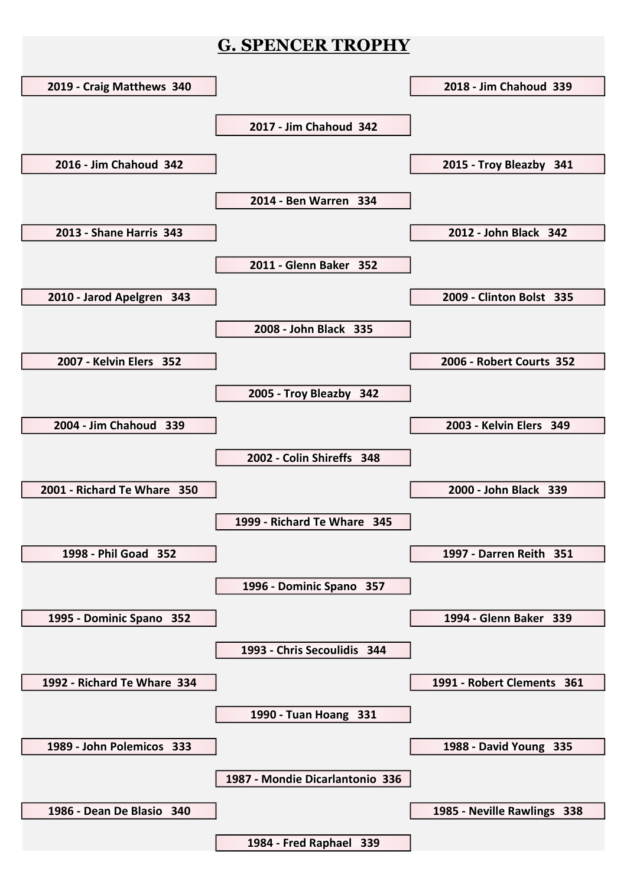## G. SPENCER TROPHY